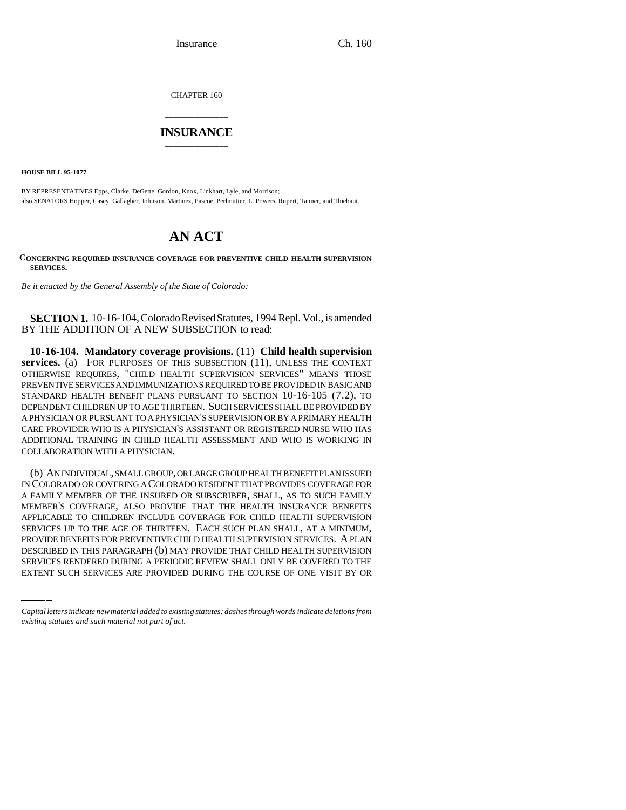Insurance Ch. 160

CHAPTER 160

## \_\_\_\_\_\_\_\_\_\_\_\_\_\_\_ **INSURANCE** \_\_\_\_\_\_\_\_\_\_\_\_\_\_\_

**HOUSE BILL 95-1077**

BY REPRESENTATIVES Epps, Clarke, DeGette, Gordon, Knox, Linkhart, Lyle, and Morrison; also SENATORS Hopper, Casey, Gallagher, Johnson, Martinez, Pascoe, Perlmutter, L. Powers, Rupert, Tanner, and Thiebaut.

## **AN ACT**

## **CONCERNING REQUIRED INSURANCE COVERAGE FOR PREVENTIVE CHILD HEALTH SUPERVISION SERVICES.**

*Be it enacted by the General Assembly of the State of Colorado:*

**SECTION 1.** 10-16-104, Colorado Revised Statutes, 1994 Repl. Vol., is amended BY THE ADDITION OF A NEW SUBSECTION to read:

**10-16-104. Mandatory coverage provisions.** (11) **Child health supervision services.** (a) FOR PURPOSES OF THIS SUBSECTION (11), UNLESS THE CONTEXT OTHERWISE REQUIRES, "CHILD HEALTH SUPERVISION SERVICES" MEANS THOSE PREVENTIVE SERVICES AND IMMUNIZATIONS REQUIRED TO BE PROVIDED IN BASIC AND STANDARD HEALTH BENEFIT PLANS PURSUANT TO SECTION 10-16-105 (7.2), TO DEPENDENT CHILDREN UP TO AGE THIRTEEN. SUCH SERVICES SHALL BE PROVIDED BY A PHYSICIAN OR PURSUANT TO A PHYSICIAN'S SUPERVISION OR BY A PRIMARY HEALTH CARE PROVIDER WHO IS A PHYSICIAN'S ASSISTANT OR REGISTERED NURSE WHO HAS ADDITIONAL TRAINING IN CHILD HEALTH ASSESSMENT AND WHO IS WORKING IN COLLABORATION WITH A PHYSICIAN.

SERVICES UP TO THE AGE OF THIRTEEN. EACH SUCH PLAN SHALL, AT A MINIMUM, (b) AN INDIVIDUAL, SMALL GROUP, OR LARGE GROUP HEALTH BENEFIT PLAN ISSUED IN COLORADO OR COVERING A COLORADO RESIDENT THAT PROVIDES COVERAGE FOR A FAMILY MEMBER OF THE INSURED OR SUBSCRIBER, SHALL, AS TO SUCH FAMILY MEMBER'S COVERAGE, ALSO PROVIDE THAT THE HEALTH INSURANCE BENEFITS APPLICABLE TO CHILDREN INCLUDE COVERAGE FOR CHILD HEALTH SUPERVISION PROVIDE BENEFITS FOR PREVENTIVE CHILD HEALTH SUPERVISION SERVICES. A PLAN DESCRIBED IN THIS PARAGRAPH (b) MAY PROVIDE THAT CHILD HEALTH SUPERVISION SERVICES RENDERED DURING A PERIODIC REVIEW SHALL ONLY BE COVERED TO THE EXTENT SUCH SERVICES ARE PROVIDED DURING THE COURSE OF ONE VISIT BY OR

*Capital letters indicate new material added to existing statutes; dashes through words indicate deletions from existing statutes and such material not part of act.*